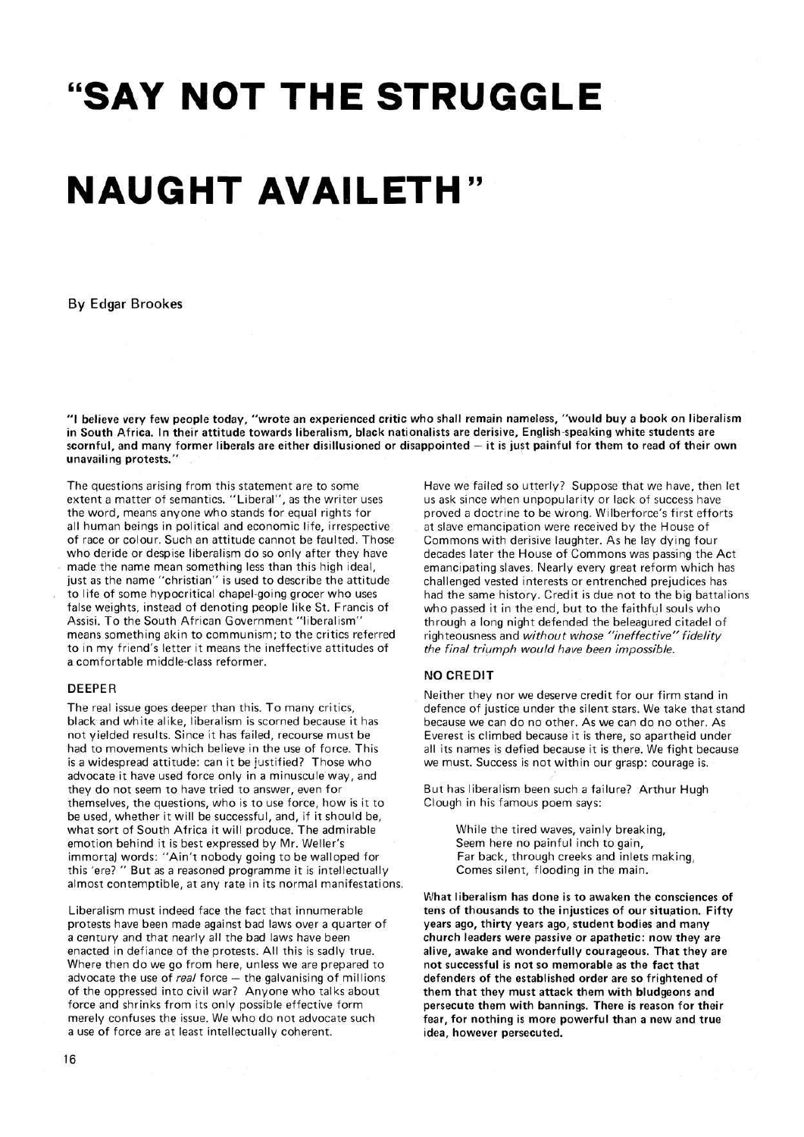# **<sup>i</sup> <sup>f</sup>SAY NOT THE STRUGGLE**

## **NAUGHT AVAILETH**"

**By Edgar Brookes** 

**"I believe very few people today, "wrote an experienced critic who shall remain nameless, "would buy a book on liberalism in South Africa. In their attitude towards liberalism, black nationalists are derisive, English-speaking white students are scornful, and many former liberals are either disillusioned or disappointed — it is just painful for them to read of their own unavailing protests."** 

The questions arising from this statement are to some extent a matter of semantics. "Liberal", as the writer uses the word, means anyone who stands for equal rights for all human beings in political and economic life, irrespective of race or colour. Such an attitude cannot be faulted. Those who deride or despise liberalism do so only after they have made the name mean something less than this high ideal, just as the name "christian" is used to describe the attitude to life of some hypocritical chapel-going grocer who uses false weights, instead of denoting people like St. Francis of Assisi. To the South African Government "liberalism" means something akin to communism; to the critics referred to in my friend's letter it means the ineffective attitudes of a comfortable middle-class reformer.

#### **DEEPER**

The real issue goes deeper than this. To many critics, black and white alike, liberalism is scorned because it has not yielded results. Since it has failed, recourse must be had to movements which believe in the use of force. This is **a** widespread attitude: can it be justified? Those who advocate it have used force only in a minuscule way, and they do not seem to have tried to answer, even for themselves, the questions, who is to use force, how is it to be used, whether it will be successful, and, if it should be, what sort of South Africa it will produce. The admirable emotion behind it is best expressed by Mr. Weller's immortal words: "Ain't nobody going to be walloped for this 'ere? " But as a reasoned programme it is intellectually almost contemptible, at any rate in its normal manifestations.

Liberalism must indeed face the fact that innumerable protests have been made against bad laws over a quarter of a century and that nearly all the bad laws have been enacted in defiance of the protests. All this is sadly true. Where then do we go from here, unless we are prepared to advocate the use of *real* force – the galvanising of millions of the oppressed into civil war? Anyone who talks about force and shrinks from its only possible effective form merely confuses the issue. We who do not advocate such a use of force are at least intellectually coherent.

Have we failed so utterly? Suppose that we have, then let us ask since when unpopularity or lack of success have proved a doctrine to be wrong. Wilberforce's first efforts at slave emancipation were received by the House of Commons with derisive laughter. As he lay dying four decades later the House of Commons was passing the Act emancipating slaves. Nearly every great reform which has challenged vested interests or entrenched prejudices has had the same history. Credit is due not to the big battalions who passed it in the end, but to the faithful souls who through a long night defended the beleagured citadel of righteousness and without whose "ineffective" fidelity the final triumph would have been impossible.

#### **NO CREDIT**

Neither they nor we deserve credit for our firm stand in defence of justice under the silent stars. We take that stand because we can do no other. As we can do no other. As Everest is climbed because it is there, so apartheid under all its names is defied because it is there. We fight because we must. Success is not within our grasp: courage is.

But has liberalism been such a failure? Arthur Hugh Clough in his famous poem says:

> While the tired waves, vainly breaking, Seem here no painful inch to gain, Far back, through creeks and inlets making, Comes silent, flooding in the main.

**What liberalism has done is to awaken the consciences of tens of thousands to the injustices of our situation. Fifty years ago, thirty years ago, student bodies and many church leaders were passive or apathetic: now they are alive, awake and wonderfully courageous. That they are not successful is not so memorable as the fact that defenders of the established order are so frightened of them that they must attack them with bludgeons and persecute them with bannings. There is reason for their fear, for nothing is more powerful than a new and true idea, however persecuted.**